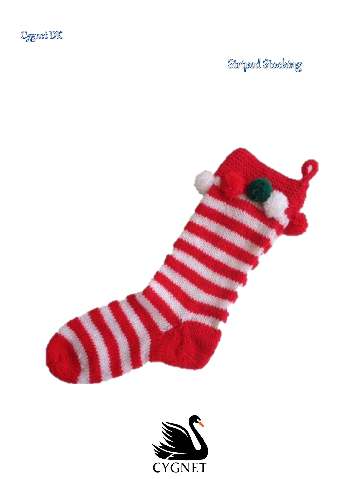

# Striped Stocking



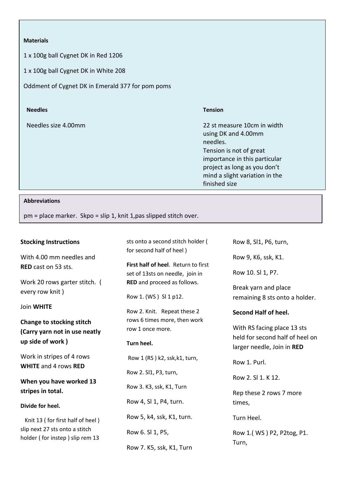1 x 100g ball Cygnet DK in Red 1206

1 x 100g ball Cygnet DK in White 208

Oddment of Cygnet DK in Emerald 377 for pom poms

| <b>Needles</b>      | <b>Tension</b>                                                                                                                                                                                                |
|---------------------|---------------------------------------------------------------------------------------------------------------------------------------------------------------------------------------------------------------|
| Needles size 4.00mm | 22 st measure 10cm in width<br>using DK and 4.00mm<br>needles.<br>Tension is not of great<br>importance in this particular<br>project as long as you don't<br>mind a slight variation in the<br>finished size |

#### **Abbreviations**

pm = place marker. Skpo = slip 1, knit 1,pas slipped stitch over.

# **Stocking Instructions**

With 4.00 mm needles and **RED** cast on 53 sts.

Work 20 rows garter stitch. ( every row knit )

# Join **WHITE**

**Change to stocking stitch (Carry yarn not in use neatly up side of work )** 

Work in stripes of 4 rows **WHITE** and 4 rows **RED**

**When you have worked 13 stripes in total.**

### **Divide for heel.**

 Knit 13 ( for first half of heel ) slip next 27 sts onto a stitch holder ( for instep ) slip rem 13

sts onto a second stitch holder ( for second half of heel )

**First half of heel**. Return to first set of 13sts on needle, join in **RED** and proceed as follows.

Row 1. (WS ) Sl 1 p12.

Row 2. Knit. Repeat these 2 rows 6 times more, then work row 1 once more.

### **Turn heel.**

Row 1 (RS ) k2, ssk,k1, turn, Row 2. Sl1, P3, turn, Row 3. K3, ssk, K1, Turn Row 4, Sl 1, P4, turn. Row 5, k4, ssk, K1, turn. Row 6. Sl 1, P5, Row 7. K5, ssk, K1, Turn

Row 8, Sl1, P6, turn, Row 9, K6, ssk, K1. Row 10. Sl 1, P7. Break yarn and place remaining 8 sts onto a holder.

# **Second Half of heel.**

With RS facing place 13 sts held for second half of heel on larger needle, Join in **RED**

Row 1. Purl.

Row 2. SL 1. K 12.

Rep these 2 rows 7 more times,

Turn Heel.

Row 1.( WS ) P2, P2tog, P1. Turn,